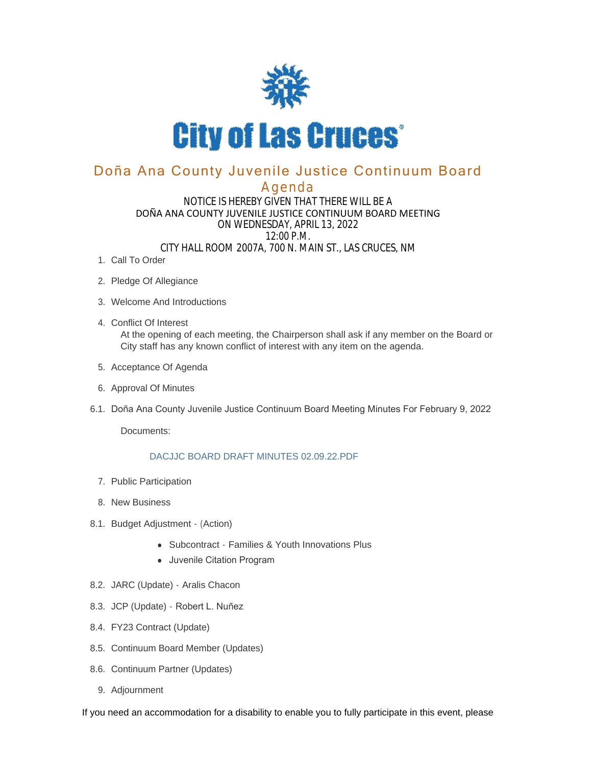

# Doña Ana County Juvenile Justice Continuum Board

## Agenda

#### NOTICE IS HEREBY GIVEN THAT THERE WILL BE A DOÑA ANA COUNTY JUVENILE JUSTICE CONTINUUM BOARD MEETING ON WEDNESDAY, APRIL 13, 2022 12:00 P.M. CITY HALL ROOM 2007A, 700 N. MAIN ST., LAS CRUCES, NM

- 1. Call To Order
- 2. Pledge Of Allegiance
- Welcome And Introductions 3.
- Conflict Of Interest 4. At the opening of each meeting, the Chairperson shall ask if any member on the Board or City staff has any known conflict of interest with any item on the agenda.
- 5. Acceptance Of Agenda
- 6. Approval Of Minutes
- 6.1. Doña Ana County Juvenile Justice Continuum Board Meeting Minutes For February 9, 2022

Documents:

#### DACJJC BOARD DRAFT MINUTES 02.09.22.PDF

- 7. Public Participation
- 8. New Business
- 8.1. Budget Adjustment (Action)
	- Subcontract Families & Youth Innovations Plus
	- Juvenile Citation Program
- 8.2. JARC (Update) Aralis Chacon
- 8.3. JCP (Update) Robert L. Nuñez
- FY23 Contract (Update) 8.4.
- 8.5. Continuum Board Member (Updates)
- 8.6. Continuum Partner (Updates)
	- 9. Adjournment

If you need an accommodation for a disability to enable you to fully participate in this event, please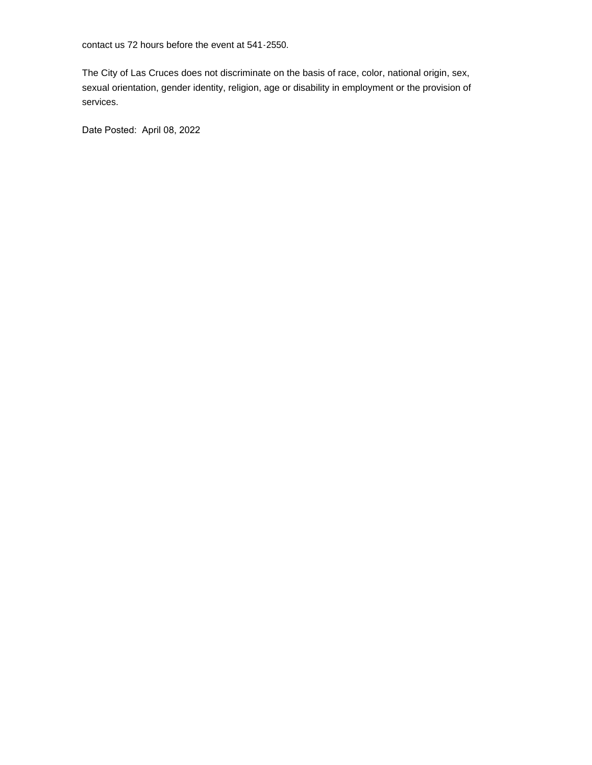contact us 72 hours before the event at 541-2550.

The City of Las Cruces does not discriminate on the basis of race, color, national origin, sex, sexual orientation, gender identity, religion, age or disability in employment or the provision of services.

Date Posted: April 08, 2022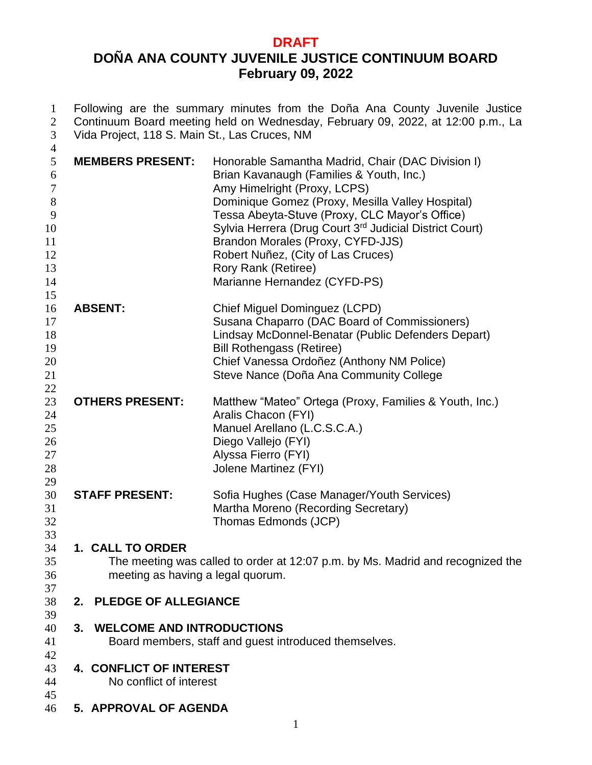## **DRAFT DOÑA ANA COUNTY JUVENILE JUSTICE CONTINUUM BOARD February 09, 2022**

 Following are the summary minutes from the Doña Ana County Juvenile Justice 2 Continuum Board meeting held on Wednesday, February 09, 2022, at 12:00 p.m., La<br>3 Vida Project, 118 S. Main St., Las Cruces, NM Vida Project, 118 S. Main St., Las Cruces, NM 

| 4<br>5<br>6<br>$\tau$<br>$8\,$<br>9<br>10<br>11<br>12<br>13<br>14 | <b>MEMBERS PRESENT:</b>                                                                         | Honorable Samantha Madrid, Chair (DAC Division I)<br>Brian Kavanaugh (Families & Youth, Inc.)<br>Amy Himelright (Proxy, LCPS)<br>Dominique Gomez (Proxy, Mesilla Valley Hospital)<br>Tessa Abeyta-Stuve (Proxy, CLC Mayor's Office)<br>Sylvia Herrera (Drug Court 3 <sup>rd</sup> Judicial District Court)<br>Brandon Morales (Proxy, CYFD-JJS)<br>Robert Nuñez, (City of Las Cruces)<br>Rory Rank (Retiree)<br>Marianne Hernandez (CYFD-PS) |
|-------------------------------------------------------------------|-------------------------------------------------------------------------------------------------|----------------------------------------------------------------------------------------------------------------------------------------------------------------------------------------------------------------------------------------------------------------------------------------------------------------------------------------------------------------------------------------------------------------------------------------------|
| 15<br>16<br>17<br>18<br>19<br>20<br>21<br>22                      | <b>ABSENT:</b>                                                                                  | Chief Miguel Dominguez (LCPD)<br>Susana Chaparro (DAC Board of Commissioners)<br>Lindsay McDonnel-Benatar (Public Defenders Depart)<br><b>Bill Rothengass (Retiree)</b><br>Chief Vanessa Ordoñez (Anthony NM Police)<br>Steve Nance (Doña Ana Community College                                                                                                                                                                              |
| 23<br>24<br>25<br>26<br>27<br>28<br>29                            | <b>OTHERS PRESENT:</b>                                                                          | Matthew "Mateo" Ortega (Proxy, Families & Youth, Inc.)<br>Aralis Chacon (FYI)<br>Manuel Arellano (L.C.S.C.A.)<br>Diego Vallejo (FYI)<br>Alyssa Fierro (FYI)<br>Jolene Martinez (FYI)                                                                                                                                                                                                                                                         |
| 30<br>31<br>32<br>33                                              | <b>STAFF PRESENT:</b>                                                                           | Sofia Hughes (Case Manager/Youth Services)<br>Martha Moreno (Recording Secretary)<br>Thomas Edmonds (JCP)                                                                                                                                                                                                                                                                                                                                    |
| 34<br>35<br>36<br>37                                              | 1. CALL TO ORDER<br>meeting as having a legal quorum.                                           | The meeting was called to order at 12:07 p.m. by Ms. Madrid and recognized the                                                                                                                                                                                                                                                                                                                                                               |
| 38<br>39                                                          | 2. PLEDGE OF ALLEGIANCE                                                                         |                                                                                                                                                                                                                                                                                                                                                                                                                                              |
| 40<br>41<br>42                                                    | <b>WELCOME AND INTRODUCTIONS</b><br>3.<br>Board members, staff and guest introduced themselves. |                                                                                                                                                                                                                                                                                                                                                                                                                                              |
| 43<br>44                                                          | 4. CONFLICT OF INTEREST<br>No conflict of interest                                              |                                                                                                                                                                                                                                                                                                                                                                                                                                              |
| 45<br>46                                                          | 5. APPROVAL OF AGENDA                                                                           |                                                                                                                                                                                                                                                                                                                                                                                                                                              |
|                                                                   |                                                                                                 |                                                                                                                                                                                                                                                                                                                                                                                                                                              |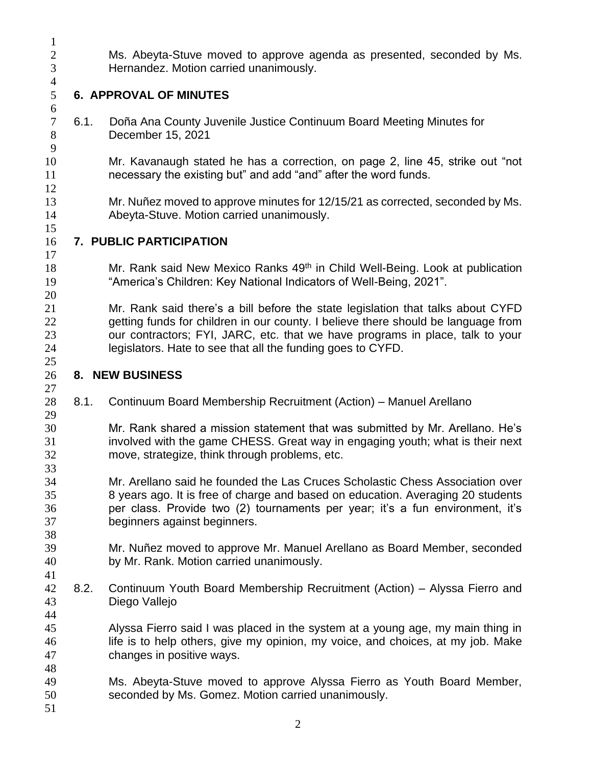Ms. Abeyta-Stuve moved to approve agenda as presented, seconded by Ms. Hernandez. Motion carried unanimously.

### **6. APPROVAL OF MINUTES**

 6.1. Doña Ana County Juvenile Justice Continuum Board Meeting Minutes for December 15, 2021

 Mr. Kavanaugh stated he has a correction, on page 2, line 45, strike out "not necessary the existing but" and add "and" after the word funds.

 Mr. Nuñez moved to approve minutes for 12/15/21 as corrected, seconded by Ms. Abeyta-Stuve. Motion carried unanimously.

### **7. PUBLIC PARTICIPATION**

- 18 Mr. Rank said New Mexico Ranks 49<sup>th</sup> in Child Well-Being. Look at publication "America's Children: Key National Indicators of Well-Being, 2021".
- Mr. Rank said there's a bill before the state legislation that talks about CYFD getting funds for children in our county. I believe there should be language from our contractors; FYI, JARC, etc. that we have programs in place, talk to your legislators. Hate to see that all the funding goes to CYFD.
- **8. NEW BUSINESS**
- 8.1. Continuum Board Membership Recruitment (Action) Manuel Arellano
- Mr. Rank shared a mission statement that was submitted by Mr. Arellano. He's involved with the game CHESS. Great way in engaging youth; what is their next move, strategize, think through problems, etc.
- Mr. Arellano said he founded the Las Cruces Scholastic Chess Association over 8 years ago. It is free of charge and based on education. Averaging 20 students per class. Provide two (2) tournaments per year; it's a fun environment, it's beginners against beginners.
- Mr. Nuñez moved to approve Mr. Manuel Arellano as Board Member, seconded by Mr. Rank. Motion carried unanimously.
- 8.2. Continuum Youth Board Membership Recruitment (Action) Alyssa Fierro and Diego Vallejo
- Alyssa Fierro said I was placed in the system at a young age, my main thing in life is to help others, give my opinion, my voice, and choices, at my job. Make changes in positive ways.
- Ms. Abeyta-Stuve moved to approve Alyssa Fierro as Youth Board Member, seconded by Ms. Gomez. Motion carried unanimously.
-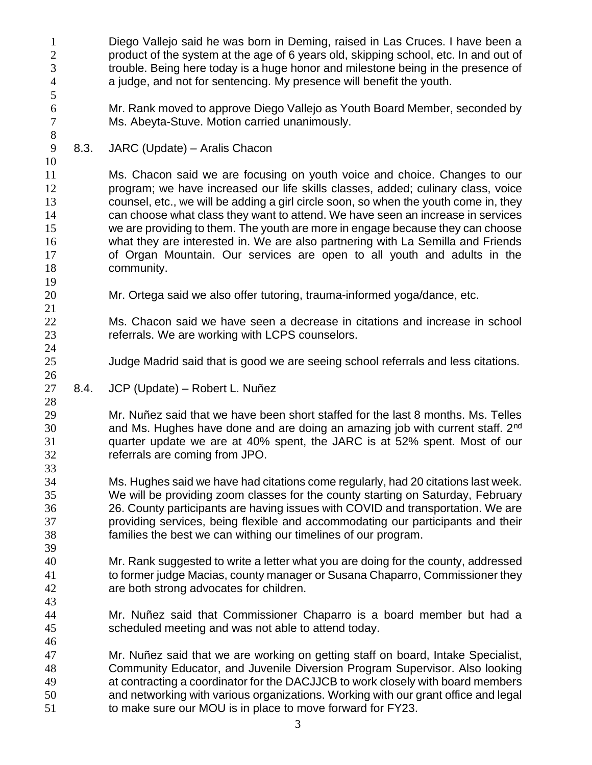| $\mathbf{1}$<br>$\boldsymbol{2}$<br>3<br>$\overline{4}$<br>5 |      | Diego Vallejo said he was born in Deming, raised in Las Cruces. I have been a<br>product of the system at the age of 6 years old, skipping school, etc. In and out of<br>trouble. Being here today is a huge honor and milestone being in the presence of<br>a judge, and not for sentencing. My presence will benefit the youth.                                                                                                                                                                                                                                                                      |
|--------------------------------------------------------------|------|--------------------------------------------------------------------------------------------------------------------------------------------------------------------------------------------------------------------------------------------------------------------------------------------------------------------------------------------------------------------------------------------------------------------------------------------------------------------------------------------------------------------------------------------------------------------------------------------------------|
| 6<br>$\boldsymbol{7}$<br>$8\,$                               |      | Mr. Rank moved to approve Diego Vallejo as Youth Board Member, seconded by<br>Ms. Abeyta-Stuve. Motion carried unanimously.                                                                                                                                                                                                                                                                                                                                                                                                                                                                            |
| $\mathbf{9}$<br>10                                           | 8.3. | JARC (Update) - Aralis Chacon                                                                                                                                                                                                                                                                                                                                                                                                                                                                                                                                                                          |
| 11<br>12<br>13<br>14<br>15<br>16<br>17<br>18<br>19           |      | Ms. Chacon said we are focusing on youth voice and choice. Changes to our<br>program; we have increased our life skills classes, added; culinary class, voice<br>counsel, etc., we will be adding a girl circle soon, so when the youth come in, they<br>can choose what class they want to attend. We have seen an increase in services<br>we are providing to them. The youth are more in engage because they can choose<br>what they are interested in. We are also partnering with La Semilla and Friends<br>of Organ Mountain. Our services are open to all youth and adults in the<br>community. |
| 20<br>21                                                     |      | Mr. Ortega said we also offer tutoring, trauma-informed yoga/dance, etc.                                                                                                                                                                                                                                                                                                                                                                                                                                                                                                                               |
| 22<br>23<br>24                                               |      | Ms. Chacon said we have seen a decrease in citations and increase in school<br>referrals. We are working with LCPS counselors.                                                                                                                                                                                                                                                                                                                                                                                                                                                                         |
| 25<br>26                                                     |      | Judge Madrid said that is good we are seeing school referrals and less citations.                                                                                                                                                                                                                                                                                                                                                                                                                                                                                                                      |
| 27<br>28                                                     | 8.4. | JCP (Update) - Robert L. Nuñez                                                                                                                                                                                                                                                                                                                                                                                                                                                                                                                                                                         |
| 29<br>30<br>31<br>32<br>33                                   |      | Mr. Nuñez said that we have been short staffed for the last 8 months. Ms. Telles<br>and Ms. Hughes have done and are doing an amazing job with current staff. 2 <sup>nd</sup><br>quarter update we are at 40% spent, the JARC is at 52% spent. Most of our<br>referrals are coming from JPO.                                                                                                                                                                                                                                                                                                           |
| 34<br>35<br>36<br>37<br>38<br>39                             |      | Ms. Hughes said we have had citations come regularly, had 20 citations last week.<br>We will be providing zoom classes for the county starting on Saturday, February<br>26. County participants are having issues with COVID and transportation. We are<br>providing services, being flexible and accommodating our participants and their<br>families the best we can withing our timelines of our program.                                                                                                                                                                                           |
| 40<br>41<br>42<br>43                                         |      | Mr. Rank suggested to write a letter what you are doing for the county, addressed<br>to former judge Macias, county manager or Susana Chaparro, Commissioner they<br>are both strong advocates for children.                                                                                                                                                                                                                                                                                                                                                                                           |
| 44<br>45<br>46                                               |      | Mr. Nuñez said that Commissioner Chaparro is a board member but had a<br>scheduled meeting and was not able to attend today.                                                                                                                                                                                                                                                                                                                                                                                                                                                                           |
| 47<br>48<br>49<br>50<br>51                                   |      | Mr. Nuñez said that we are working on getting staff on board, Intake Specialist,<br>Community Educator, and Juvenile Diversion Program Supervisor. Also looking<br>at contracting a coordinator for the DACJJCB to work closely with board members<br>and networking with various organizations. Working with our grant office and legal<br>to make sure our MOU is in place to move forward for FY23.                                                                                                                                                                                                 |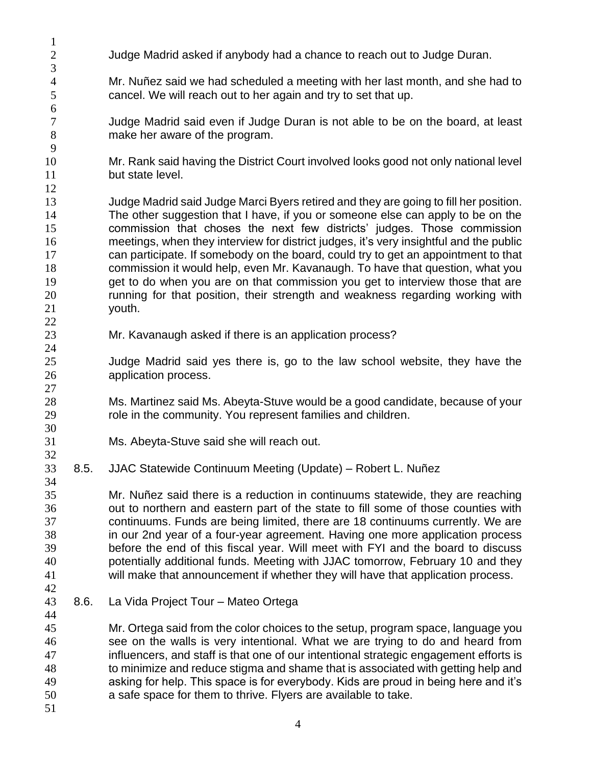Judge Madrid asked if anybody had a chance to reach out to Judge Duran. Mr. Nuñez said we had scheduled a meeting with her last month, and she had to cancel. We will reach out to her again and try to set that up. Judge Madrid said even if Judge Duran is not able to be on the board, at least make her aware of the program. Mr. Rank said having the District Court involved looks good not only national level 11 but state level. Judge Madrid said Judge Marci Byers retired and they are going to fill her position. The other suggestion that I have, if you or someone else can apply to be on the commission that choses the next few districts' judges. Those commission meetings, when they interview for district judges, it's very insightful and the public can participate. If somebody on the board, could try to get an appointment to that commission it would help, even Mr. Kavanaugh. To have that question, what you 19 get to do when you are on that commission you get to interview those that are running for that position, their strength and weakness regarding working with youth. Mr. Kavanaugh asked if there is an application process? Judge Madrid said yes there is, go to the law school website, they have the application process. Ms. Martinez said Ms. Abeyta-Stuve would be a good candidate, because of your role in the community. You represent families and children. Ms. Abeyta-Stuve said she will reach out. 8.5. JJAC Statewide Continuum Meeting (Update) – Robert L. Nuñez Mr. Nuñez said there is a reduction in continuums statewide, they are reaching out to northern and eastern part of the state to fill some of those counties with continuums. Funds are being limited, there are 18 continuums currently. We are in our 2nd year of a four-year agreement. Having one more application process before the end of this fiscal year. Will meet with FYI and the board to discuss potentially additional funds. Meeting with JJAC tomorrow, February 10 and they will make that announcement if whether they will have that application process. 8.6. La Vida Project Tour – Mateo Ortega Mr. Ortega said from the color choices to the setup, program space, language you see on the walls is very intentional. What we are trying to do and heard from influencers, and staff is that one of our intentional strategic engagement efforts is to minimize and reduce stigma and shame that is associated with getting help and asking for help. This space is for everybody. Kids are proud in being here and it's a safe space for them to thrive. Flyers are available to take.